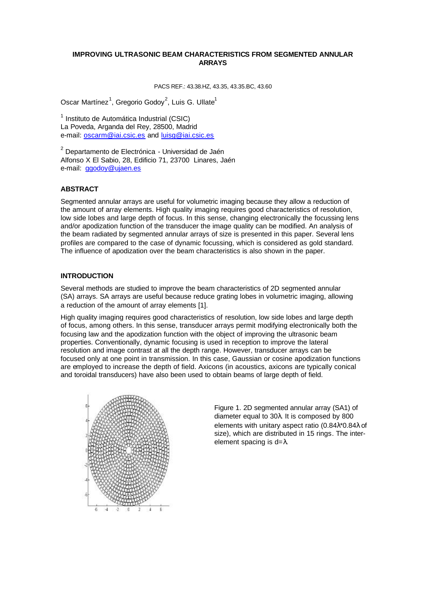# **IMPROVING ULTRASONIC BEAM CHARACTERISTICS FROM SEGMENTED ANNULAR ARRAYS**

PACS REF.: 43.38.HZ, 43.35, 43.35.BC, 43.60

Oscar Martínez<sup>1</sup>, Gregorio Godoy<sup>2</sup>, Luis G. Ullate<sup>1</sup>

<sup>1</sup> Instituto de Automática Industrial (CSIC) La Poveda, Arganda del Rey, 28500, Madrid e-mail: oscarm@iai.csic.es and luisg@iai.csic.es

<sup>2</sup> Departamento de Electrónica - Universidad de Jaén Alfonso X El Sabio, 28, Edificio 71, 23700 Linares, Jaén e-mail: ggodoy@ujaen.es

# **ABSTRACT**

Segmented annular arrays are useful for volumetric imaging because they allow a reduction of the amount of array elements. High quality imaging requires good characteristics of resolution, low side lobes and large depth of focus. In this sense, changing electronically the focussing lens and/or apodization function of the transducer the image quality can be modified. An analysis of the beam radiated by segmented annular arrays of size is presented in this paper. Several lens profiles are compared to the case of dynamic focussing, which is considered as gold standard. The influence of apodization over the beam characteristics is also shown in the paper.

## **INTRODUCTION**

Several methods are studied to improve the beam characteristics of 2D segmented annular (SA) arrays. SA arrays are useful because reduce grating lobes in volumetric imaging, allowing a reduction of the amount of array elements [1].

High quality imaging requires good characteristics of resolution, low side lobes and large depth of focus, among others. In this sense, transducer arrays permit modifying electronically both the focusing law and the apodization function with the object of improving the ultrasonic beam properties. Conventionally, dynamic focusing is used in reception to improve the lateral resolution and image contrast at all the depth range. However, transducer arrays can be focused only at one point in transmission. In this case, Gaussian or cosine apodization functions are employed to increase the depth of field. Axicons (in acoustics, axicons are typically conical and toroidal transducers) have also been used to obtain beams of large depth of field.



Figure 1. 2D segmented annular array (SA1) of diameter equal to 30λ. It is composed by 800 elements with unitary aspect ratio (0.84λ\*0.84λ of size), which are distributed in 15 rings. The interelement spacing is  $d = \lambda$ .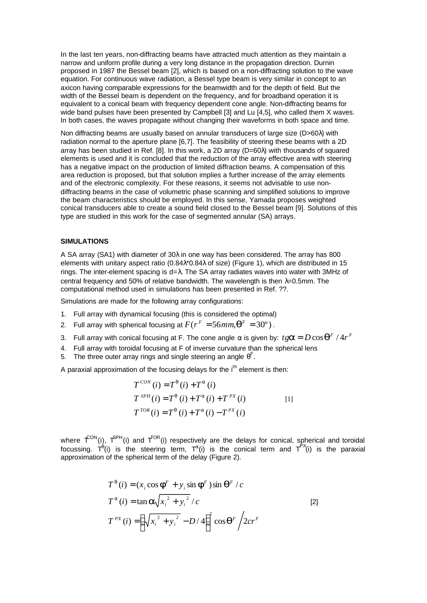In the last ten years, non-diffracting beams have attracted much attention as they maintain a narrow and uniform profile during a very long distance in the propagation direction. Durnin proposed in 1987 the Bessel beam [2], which is based on a non-diffracting solution to the wave equation. For continuous wave radiation, a Bessel type beam is very similar in concept to an axicon having comparable expressions for the beamwidth and for the depth of field. But the width of the Bessel beam is dependent on the frequency, and for broadband operation it is equivalent to a conical beam with frequency dependent cone angle. Non-diffracting beams for wide band pulses have been presented by Campbell [3] and Lu [4,5], who called them X waves. In both cases, the waves propagate without changing their waveforms in both space and time.

Non diffracting beams are usually based on annular transducers of large size (D>60λ) with radiation normal to the aperture plane [6,7]. The feasibility of steering these beams with a 2D array has been studied in Ref. [8]. In this work, a 2D array (D=60λ) with thousands of squared elements is used and it is concluded that the reduction of the array effective area with steering has a negative impact on the production of limited diffraction beams. A compensation of this area reduction is proposed, but that solution implies a further increase of the array elements and of the electronic complexity. For these reasons, it seems not advisable to use nondiffracting beams in the case of volumetric phase scanning and simplified solutions to improve the beam characteristics should be employed. In this sense, Yamada proposes weighted conical transducers able to create a sound field closed to the Bessel beam [9]. Solutions of this type are studied in this work for the case of segmented annular (SA) arrays.

## **SIMULATIONS**

A SA array (SA1) with diameter of 30λ in one way has been considered. The array has 800 elements with unitary aspect ratio (0.84λ\*0.84λ of size) (Figure 1), which are distributed in 15 rings. The inter-element spacing is d=λ. The SA array radiates waves into water with 3MHz of central frequency and 50% of relative bandwidth. The wavelength is then λ=0.5mm. The computational method used in simulations has been presented in Ref. ??.

Simulations are made for the following array configurations:

- 1. Full array with dynamical focusing (this is considered the optimal)
- 2. Full array with spherical focusing at  $F(r^F = 56 mm, \mathbf{q}^F = 30^{\circ})$ .
- 3. Full array with conical focusing at F. The cone angle  $\alpha$  is given by:  $t g \bm{a}$  =  $D \cos \bm{q}^F$  /  $4 r^F$
- 4. Full array with toroidal focusing at F of inverse curvature than the spherical lens
- 5. The three outer array rings and single steering an angle  $\theta^F$ .

A paraxial approximation of the focusing delays for the  $i<sup>th</sup>$  element is then:

$$
T^{CON}(i) = T^{q}(i) + T^{a}(i)
$$
  
\n
$$
T^{SPH}(i) = T^{q}(i) + T^{a}(i) + T^{PX}(i)
$$
  
\n
$$
T^{TOR}(i) = T^{q}(i) + T^{a}(i) - T^{PX}(i)
$$
\n[1]

where  $\hat{T}^{ON}(i)$ ,  $\hat{T}^{SPH}(i)$  and  $\hat{T}^{OR}(i)$  respectively are the delays for conical, spherical and toroidal focussing.  $T^{\theta}$ (i) is the steering term,  $T^{\alpha}$ (i) is the conical term and  $T^{PX}$ (i) is the paraxial approximation of the spherical term of the delay (Figure 2).

$$
T^{q}(i) = (x_{i} \cos \boldsymbol{f}^{F} + y_{i} \sin \boldsymbol{f}^{F}) \sin \boldsymbol{q}^{F} / c
$$
  
\n
$$
T^{a}(i) = \tan \boldsymbol{a} \sqrt{x_{i}^{2} + y_{i}^{2}} / c
$$
  
\n
$$
T^{PX}(i) = \left(\sqrt{x_{i}^{2} + y_{i}^{2}} - D / 4\right)^{2} \cos \boldsymbol{q}^{F} / 2cr^{F}
$$
\n[2]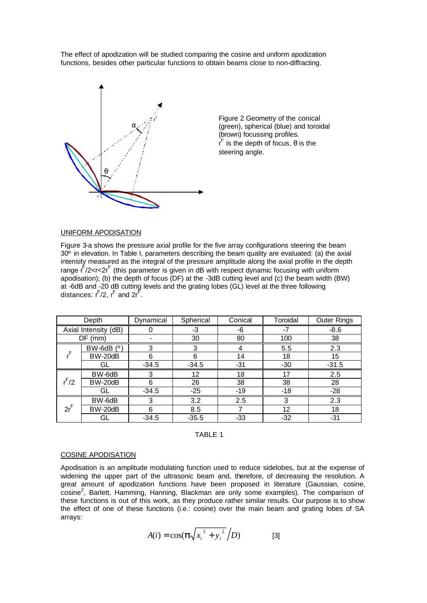The effect of apodization will be studied comparing the cosine and uniform apodization functions, besides other particular functions to obtain beams close to non-diffracting.



Figure 2 Geometry of the conical (green), spherical (blue) and toroidal (brown) focussing profiles.  $r<sup>F</sup>$  is the depth of focus,  $\theta$  is the steering angle.

#### UNIFORM APODISATION

Figure 3-a shows the pressure axial profile for the five array configurations steering the beam 30º in elevation. In Table I, parameters describing the beam quality are evaluated: (a) the axial intensity measured as the integral of the pressure amplitude along the axial profile in the depth range  $\int f/2 < r < 2r$ <sup>F</sup> (this parameter is given in dB with respect dynamic focusing with uniform apodisation); (b) the depth of focus (DF) at the -3dB cutting level and (c) the beam width (BW) at -6dB and -20 dB cutting levels and the grating lobes (GL) level at the three following distances:  $\mathsf{r}^\mathsf{F}/2, \, \mathsf{r}^\mathsf{F}$  and  $2\mathsf{r}^\mathsf{F}.$ 

| Depth                |            | Dynamical | Spherical | Conical | Toroidal | <b>Outer Rings</b> |
|----------------------|------------|-----------|-----------|---------|----------|--------------------|
| Axial Intensity (dB) |            |           | -3        | -6      | -7       | $-8.6$             |
| DF<br>(mm)           |            |           | 30        | 80      | 100      | 38                 |
|                      | BW-6dB (°) | 3         | 3         |         | 5.5      | 2.3                |
|                      | BW-20dB    | 6         | 6         | 14      | 18       | 15                 |
|                      | GL         | $-34.5$   | $-34.5$   | $-31$   | $-30$    | $-31.5$            |
| $r^F/2$              | BW-6dB     | 3         | 12        | 18      | 17       | 2.5                |
|                      | BW-20dB    | 6         | 26        | 38      | 38       | 28                 |
|                      | GL         | $-34.5$   | $-25$     | $-19$   | $-18$    | $-28$              |
| $2r^F$               | BW-6dB     | 3         | 3.2       | 2.5     | 3        | 2.3                |
|                      | BW-20dB    | 6         | 8.5       |         | 12       | 18                 |
|                      | GL         | $-34.5$   | $-35.5$   | -33     | $-32$    | $-31$              |



#### COSINE APODISATION

Apodisation is an amplitude modulating function used to reduce sidelobes, but at the expense of widening the upper part of the ultrasonic beam and, therefore, of decreasing the resolution. A great amount of apodization functions have been proposed in literature (Gaussian, cosine, cosine<sup>2</sup>, Barlett, Hamming, Hanning, Blackman are only some examples). The comparison of these functions is out of this work, as they produce rather similar results. Our purpose is to show the effect of one of these functions (i.e.: cosine) over the main beam and grating lobes of SA arrays:

$$
A(i) = \cos(\mathbf{p}\sqrt{x_i^2 + y_i^2}/D) \tag{3}
$$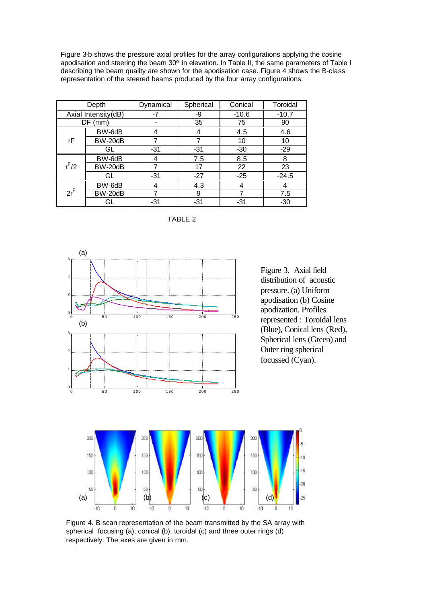Figure 3-b shows the pressure axial profiles for the array configurations applying the cosine apodisation and steering the beam 30º in elevation. In Table II, the same parameters of Table I describing the beam quality are shown for the apodisation case. Figure 4 shows the B-class representation of the steered beams produced by the four array configurations.

| Depth               |         | Dynamical | Spherical | Conical | Toroidal |
|---------------------|---------|-----------|-----------|---------|----------|
| Axial Intensity(dB) |         |           | -9        | $-10.6$ | $-10.7$  |
| $DF$ (mm)           |         |           | 35        | 75      | 90       |
| rF                  | BW-6dB  |           |           | 4.5     | 4.6      |
|                     | BW-20dB |           |           | 10      | 10       |
|                     | GL      | $-31$     | $-31$     | $-30$   | $-29$    |
| $r^F/2$             | BW-6dB  |           | 7.5       | 8.5     | 8        |
|                     | BW-20dB |           | 17        | 22      | 23       |
|                     | GL      | $-31$     | $-27$     | $-25$   | $-24.5$  |
| $2r^F$              | BW-6dB  |           | 4.3       |         |          |
|                     | BW-20dB |           | 9         |         | 7.5      |
|                     | GL      | $-31$     | $-31$     | -31     | $-30$    |

TABLE 2



Figure 4. B-scan representation of the beam transmitted by the SA array with spherical focusing (a), conical (b), toroidal (c) and three outer rings (d) respectively. The axes are given in mm.

i n  $15$ 

 $.20$ 

 $-25$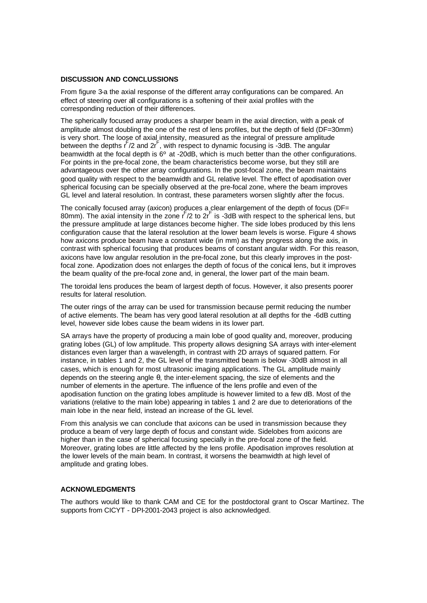## **DISCUSSION AND CONCLUSSIONS**

From figure 3-a the axial response of the different array configurations can be compared. An effect of steering over all configurations is a softening of their axial profiles with the corresponding reduction of their differences.

The spherically focused array produces a sharper beam in the axial direction, with a peak of amplitude almost doubling the one of the rest of lens profiles, but the depth of field (DF=30mm) is very short. The loose of axial intensity, measured as the integral of pressure amplitude between the depths  $r^F/2$  and  $2r^F$ , with respect to dynamic focusing is -3dB. The angular beamwidth at the focal depth is 6º at -20dB, which is much better than the other configurations. For points in the pre-focal zone, the beam characteristics become worse, but they still are advantageous over the other array configurations. In the post-focal zone, the beam maintains good quality with respect to the beamwidth and GL relative level. The effect of apodisation over spherical focusing can be specially observed at the pre-focal zone, where the beam improves GL level and lateral resolution. In contrast, these parameters worsen slightly after the focus.

The conically focused array (axicon) produces a clear enlargement of the depth of focus (DF= 80mm). The axial intensity in the zone  $r^2/2$  to  $2r^2$  is -3dB with respect to the spherical lens, but the pressure amplitude at large distances become higher. The side lobes produced by this lens configuration cause that the lateral resolution at the lower beam levels is worse. Figure 4 shows how axicons produce beam have a constant wide (in mm) as they progress along the axis, in contrast with spherical focusing that produces beams of constant angular width. For this reason, axicons have low angular resolution in the pre-focal zone, but this clearly improves in the postfocal zone. Apodization does not enlarges the depth of focus of the conical lens, but it improves the beam quality of the pre-focal zone and, in general, the lower part of the main beam.

The toroidal lens produces the beam of largest depth of focus. However, it also presents poorer results for lateral resolution.

The outer rings of the array can be used for transmission because permit reducing the number of active elements. The beam has very good lateral resolution at all depths for the -6dB cutting level, however side lobes cause the beam widens in its lower part.

SA arrays have the property of producing a main lobe of good quality and, moreover, producing grating lobes (GL) of low amplitude. This property allows designing SA arrays with inter-element distances even larger than a wavelength, in contrast with 2D arrays of squared pattern. For instance, in tables 1 and 2, the GL level of the transmitted beam is below -30dB almost in all cases, which is enough for most ultrasonic imaging applications. The GL amplitude mainly depends on the steering angle θ, the inter-element spacing, the size of elements and the number of elements in the aperture. The influence of the lens profile and even of the apodisation function on the grating lobes amplitude is however limited to a few dB. Most of the variations (relative to the main lobe) appearing in tables 1 and 2 are due to deteriorations of the main lobe in the near field, instead an increase of the GL level.

From this analysis we can conclude that axicons can be used in transmission because they produce a beam of very large depth of focus and constant wide. Sidelobes from axicons are higher than in the case of spherical focusing specially in the pre-focal zone of the field. Moreover, grating lobes are little affected by the lens profile. Apodisation improves resolution at the lower levels of the main beam. In contrast, it worsens the beamwidth at high level of amplitude and grating lobes.

# **ACKNOWLEDGMENTS**

The authors would like to thank CAM and CE for the postdoctoral grant to Oscar Martínez. The supports from CICYT - DPI-2001-2043 project is also acknowledged.